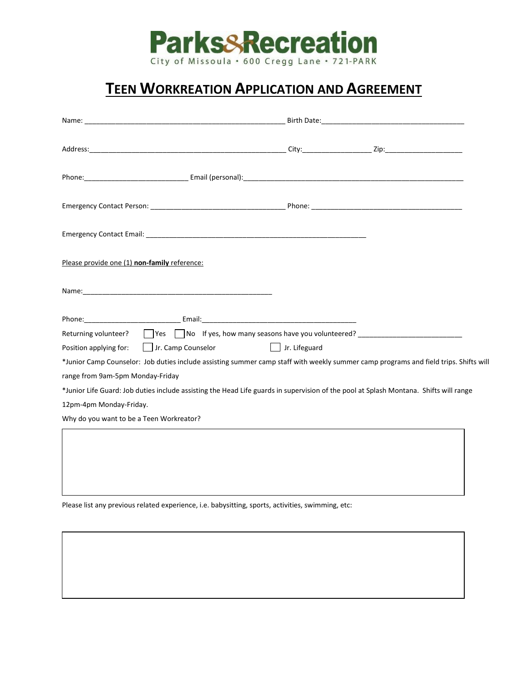

## **TEEN WORKREATION APPLICATION AND AGREEMENT**

| Please provide one (1) non-family reference:                                                                                          |               |  |
|---------------------------------------------------------------------------------------------------------------------------------------|---------------|--|
|                                                                                                                                       |               |  |
|                                                                                                                                       |               |  |
| Returning volunteer? Thes Tho If yes, how many seasons have you volunteered?                                                          |               |  |
| Position applying for:   Jr. Camp Counselor                                                                                           | Jr. Lifeguard |  |
| *Junior Camp Counselor: Job duties include assisting summer camp staff with weekly summer camp programs and field trips. Shifts will  |               |  |
| range from 9am-5pm Monday-Friday                                                                                                      |               |  |
| *Junior Life Guard: Job duties include assisting the Head Life guards in supervision of the pool at Splash Montana. Shifts will range |               |  |
| 12pm-4pm Monday-Friday.                                                                                                               |               |  |
| Why do you want to be a Teen Workreator?                                                                                              |               |  |
|                                                                                                                                       |               |  |
|                                                                                                                                       |               |  |
|                                                                                                                                       |               |  |
|                                                                                                                                       |               |  |

Please list any previous related experience, i.e. babysitting, sports, activities, swimming, etc: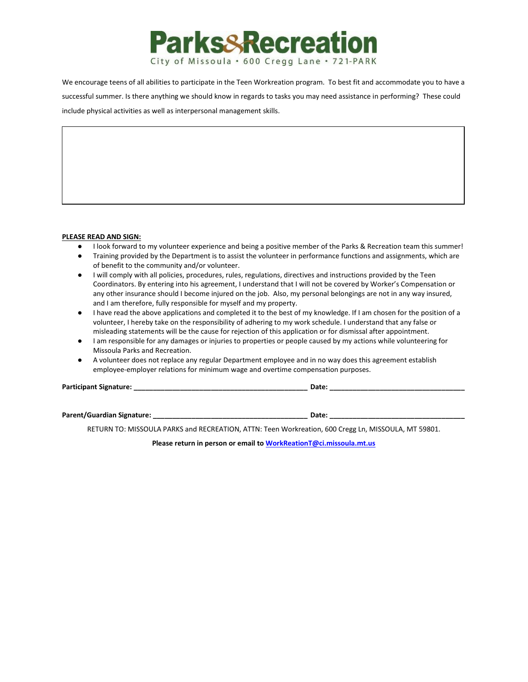

We encourage teens of all abilities to participate in the Teen Workreation program. To best fit and accommodate you to have a successful summer. Is there anything we should know in regards to tasks you may need assistance in performing? These could include physical activities as well as interpersonal management skills.

#### **PLEASE READ AND SIGN:**

- I look forward to my volunteer experience and being a positive member of the Parks & Recreation team this summer!
- Training provided by the Department is to assist the volunteer in performance functions and assignments, which are of benefit to the community and/or volunteer.
- I will comply with all policies, procedures, rules, regulations, directives and instructions provided by the Teen Coordinators. By entering into his agreement, I understand that I will not be covered by Worker's Compensation or any other insurance should I become injured on the job. Also, my personal belongings are not in any way insured, and I am therefore, fully responsible for myself and my property.
- I have read the above applications and completed it to the best of my knowledge. If I am chosen for the position of a volunteer, I hereby take on the responsibility of adhering to my work schedule. I understand that any false or misleading statements will be the cause for rejection of this application or for dismissal after appointment.
- I am responsible for any damages or injuries to properties or people caused by my actions while volunteering for Missoula Parks and Recreation.
- A volunteer does not replace any regular Department employee and in no way does this agreement establish employee-employer relations for minimum wage and overtime compensation purposes.

| <b>Participant Signature:</b> |  |
|-------------------------------|--|
|-------------------------------|--|

**Parent/Guardian Signature: \_\_\_\_\_\_\_\_\_\_\_\_\_\_\_\_\_\_\_\_\_\_\_\_\_\_\_\_\_\_\_\_\_\_\_\_\_\_\_\_ Date: \_\_\_\_\_\_\_\_\_\_\_\_\_\_\_\_\_\_\_\_\_\_\_\_\_\_\_\_\_\_\_\_\_\_\_**

RETURN TO: MISSOULA PARKS and RECREATION, ATTN: Teen Workreation, 600 Cregg Ln, MISSOULA, MT 59801.

**Please return in person or email t[o WorkReationT@ci.missoula.mt.us](mailto:WorkReationT@ci.missoula.mt.us)**